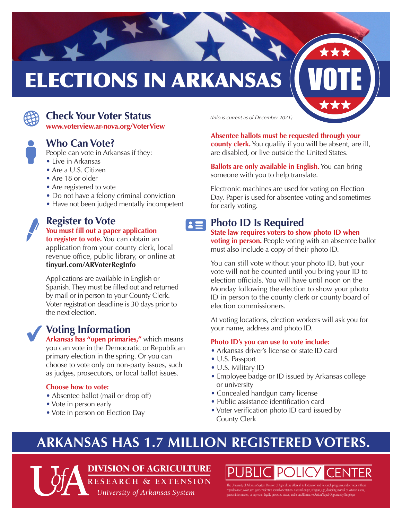# **ELECTIONS IN ARKANSAS**



## G **Check Your Voter Status** *(Info is current as of December 2021)*

**www.voterview.ar-nova.org/VoterView** 

# $\bullet$ **Who Can Vote?**

People can vote in Arkansas if they:

- Live in Arkansas
- Are a U.S. Citizen
- Are 18 or older
- Are registered to vote
- Do not have a felony criminal conviction
- Have not been judged mentally incompetent

## f **Register to Vote You must fill out a paper application**

**to register to vote.** You can obtain an application from your county clerk, local revenue office, public library, or online at **tinyurl.com/ARVoterRegInfo** 

Applications are available in English or Spanish. They must be filled out and returned by mail or in person to your County Clerk. Voter registration deadline is 30 days prior to the next election.

## **Voting Information**

**Arkansas has "open primaries,"** which means you can vote in the Democratic or Republican primary election in the spring. Or you can choose to vote only on non-party issues, such as judges, prosecutors, or local ballot issues.

#### **Choose how to vote:**

- Absentee ballot (mail or drop off)
- Vote in person early
- Vote in person on Election Day

**Absentee ballots must be requested through your county clerk.** You qualify if you will be absent, are ill, are disabled, or live outside the United States.

**Ballots are only available in English.** You can bring someone with you to help translate.

Electronic machines are used for voting on Election Day. Paper is used for absentee voting and sometimes for early voting.

#### **Photo ID Is Required**  $\mathbf{E}$

**State law requires voters to show photo ID when voting in person.** People voting with an absentee ballot must also include a copy of their photo ID.

You can still vote without your photo ID, but your vote will not be counted until you bring your ID to election officials. You will have until noon on the Monday following the election to show your photo ID in person to the county clerk or county board of election commissioners.

At voting locations, election workers will ask you for your name, address and photo ID.

#### **Photo ID's you can use to vote include:**

- Arkansas driver's license or state ID card
- U.S. Passport
- U.S. Military ID
- Employee badge or ID issued by Arkansas college or university
- Concealed handgun carry license
- Public assistance identification card
- Voter verification photo ID card issued by County Clerk

# **ARKANSAS HAS 1.7 MILLION REGISTERED VOTERS.**

DIVISION OF AGRICULTURE **RESEARCH & EXTENSION** 

*University of Arkansas System* 

**PUBLIC POLICY CENTER** The University of Arkansas System Division of Agriculture offers all its Extension and Research programs and services without regard to race, color, sex, gender identity, sexual orientation, national origin, religion, age, disability, marital or veteran status, genetic information, or any other legally protected status, and is an Affrmative Action/Equal Opportunity Employer .